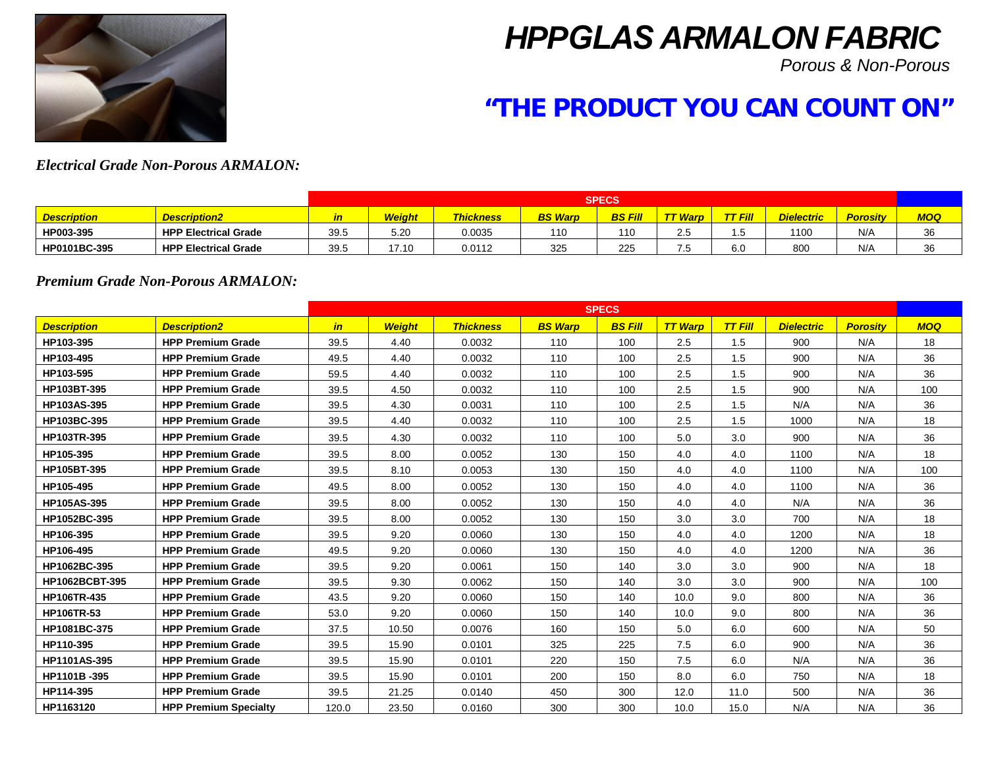

# *HPPGLAS ARMALON FABRIC*

*Porous & Non-Porous*

# **"THE PRODUCT YOU CAN COUNT ON"**

# *Electrical Grade Non-Porous ARMALON:*

|                    |                             |           | <b>SPECS</b> |                  |                |                |                                   |      |                   |                 |     |  |
|--------------------|-----------------------------|-----------|--------------|------------------|----------------|----------------|-----------------------------------|------|-------------------|-----------------|-----|--|
| <b>Description</b> | <b>Description2</b>         | <u>in</u> | Weight       | <b>Thickness</b> | <b>BS Warp</b> | <b>BS Fill</b> | $\overline{ }$ $\tau$ <i>Warp</i> | Fill | <b>Dielectric</b> | <b>Porosity</b> | MOQ |  |
| HP003-395          | <b>HPP Electrical Grade</b> | 39.5      | 5.20         | 0.0035           | 110            | 110            | 2.5                               | . J  | 10 <sup>c</sup>   | N/A             | 36  |  |
| HP0101BC-395       | <b>HPP Electrical Grade</b> | 39.5      | 17.10        | 0.0112           | 325            | 225            | 7.5                               | 6.0  | 800               | N/A             | 36  |  |

#### *Premium Grade Non-Porous ARMALON:*

|                    |                              |       |               |                  |                | <b>SPECS</b>   |                |                |                   |                 |            |
|--------------------|------------------------------|-------|---------------|------------------|----------------|----------------|----------------|----------------|-------------------|-----------------|------------|
| <b>Description</b> | <b>Description2</b>          | in    | <b>Weight</b> | <b>Thickness</b> | <b>BS Warp</b> | <b>BS Fill</b> | <b>TT Warp</b> | <b>TT Fill</b> | <b>Dielectric</b> | <b>Porosity</b> | <b>MOQ</b> |
| HP103-395          | <b>HPP Premium Grade</b>     | 39.5  | 4.40          | 0.0032           | 110            | 100            | 2.5            | 1.5            | 900               | N/A             | 18         |
| HP103-495          | <b>HPP Premium Grade</b>     | 49.5  | 4.40          | 0.0032           | 110            | 100            | 2.5            | 1.5            | 900               | N/A             | 36         |
| HP103-595          | <b>HPP Premium Grade</b>     | 59.5  | 4.40          | 0.0032           | 110            | 100            | 2.5            | 1.5            | 900               | N/A             | 36         |
| HP103BT-395        | <b>HPP Premium Grade</b>     | 39.5  | 4.50          | 0.0032           | 110            | 100            | 2.5            | 1.5            | 900               | N/A             | 100        |
| HP103AS-395        | <b>HPP Premium Grade</b>     | 39.5  | 4.30          | 0.0031           | 110            | 100            | 2.5            | 1.5            | N/A               | N/A             | 36         |
| HP103BC-395        | <b>HPP Premium Grade</b>     | 39.5  | 4.40          | 0.0032           | 110            | 100            | 2.5            | 1.5            | 1000              | N/A             | 18         |
| HP103TR-395        | <b>HPP Premium Grade</b>     | 39.5  | 4.30          | 0.0032           | 110            | 100            | 5.0            | 3.0            | 900               | N/A             | 36         |
| HP105-395          | <b>HPP Premium Grade</b>     | 39.5  | 8.00          | 0.0052           | 130            | 150            | 4.0            | 4.0            | 1100              | N/A             | 18         |
| HP105BT-395        | <b>HPP Premium Grade</b>     | 39.5  | 8.10          | 0.0053           | 130            | 150            | 4.0            | 4.0            | 1100              | N/A             | 100        |
| HP105-495          | <b>HPP Premium Grade</b>     | 49.5  | 8.00          | 0.0052           | 130            | 150            | 4.0            | 4.0            | 1100              | N/A             | 36         |
| <b>HP105AS-395</b> | <b>HPP Premium Grade</b>     | 39.5  | 8.00          | 0.0052           | 130            | 150            | 4.0            | 4.0            | N/A               | N/A             | 36         |
| HP1052BC-395       | <b>HPP Premium Grade</b>     | 39.5  | 8.00          | 0.0052           | 130            | 150            | 3.0            | 3.0            | 700               | N/A             | 18         |
| HP106-395          | <b>HPP Premium Grade</b>     | 39.5  | 9.20          | 0.0060           | 130            | 150            | 4.0            | 4.0            | 1200              | N/A             | 18         |
| HP106-495          | <b>HPP Premium Grade</b>     | 49.5  | 9.20          | 0.0060           | 130            | 150            | 4.0            | 4.0            | 1200              | N/A             | 36         |
| HP1062BC-395       | <b>HPP Premium Grade</b>     | 39.5  | 9.20          | 0.0061           | 150            | 140            | 3.0            | 3.0            | 900               | N/A             | 18         |
| HP1062BCBT-395     | <b>HPP Premium Grade</b>     | 39.5  | 9.30          | 0.0062           | 150            | 140            | 3.0            | 3.0            | 900               | N/A             | 100        |
| HP106TR-435        | <b>HPP Premium Grade</b>     | 43.5  | 9.20          | 0.0060           | 150            | 140            | 10.0           | 9.0            | 800               | N/A             | 36         |
| HP106TR-53         | <b>HPP Premium Grade</b>     | 53.0  | 9.20          | 0.0060           | 150            | 140            | 10.0           | 9.0            | 800               | N/A             | 36         |
| HP1081BC-375       | <b>HPP Premium Grade</b>     | 37.5  | 10.50         | 0.0076           | 160            | 150            | 5.0            | 6.0            | 600               | N/A             | 50         |
| HP110-395          | <b>HPP Premium Grade</b>     | 39.5  | 15.90         | 0.0101           | 325            | 225            | 7.5            | 6.0            | 900               | N/A             | 36         |
| HP1101AS-395       | <b>HPP Premium Grade</b>     | 39.5  | 15.90         | 0.0101           | 220            | 150            | 7.5            | 6.0            | N/A               | N/A             | 36         |
| HP1101B-395        | <b>HPP Premium Grade</b>     | 39.5  | 15.90         | 0.0101           | 200            | 150            | 8.0            | 6.0            | 750               | N/A             | 18         |
| HP114-395          | <b>HPP Premium Grade</b>     | 39.5  | 21.25         | 0.0140           | 450            | 300            | 12.0           | 11.0           | 500               | N/A             | 36         |
| HP1163120          | <b>HPP Premium Specialty</b> | 120.0 | 23.50         | 0.0160           | 300            | 300            | 10.0           | 15.0           | N/A               | N/A             | 36         |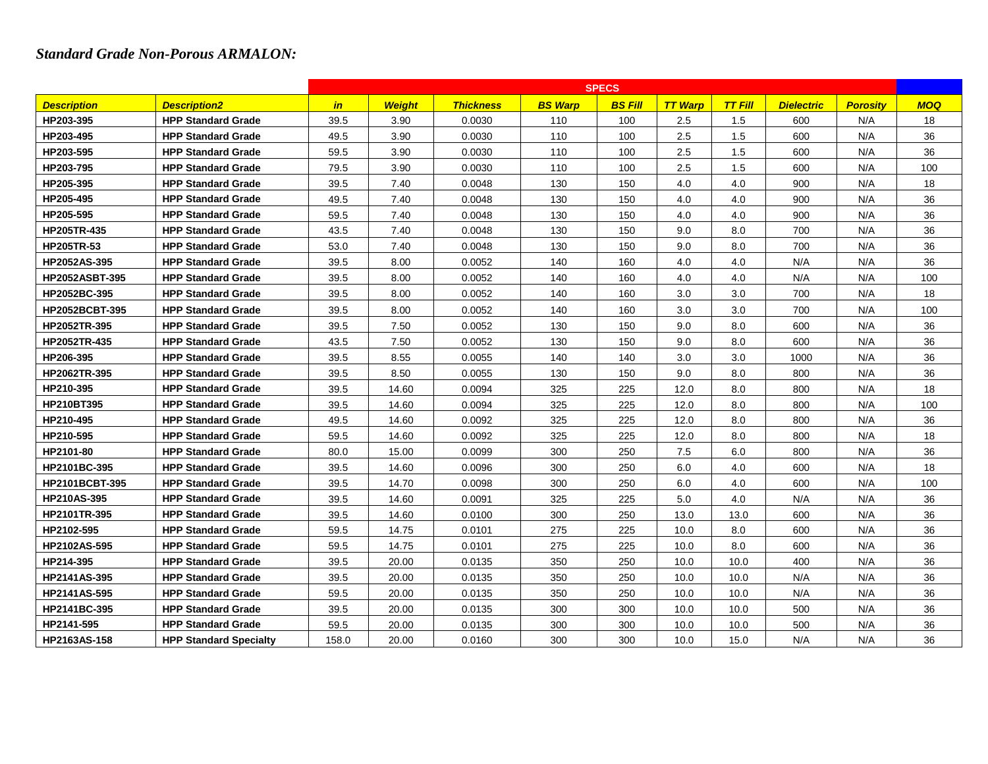## *Standard Grade Non-Porous ARMALON:*

|                       |                               | <b>SPECS</b> |               |                  |                |                |                |                |                   |                 |            |  |  |
|-----------------------|-------------------------------|--------------|---------------|------------------|----------------|----------------|----------------|----------------|-------------------|-----------------|------------|--|--|
| <b>Description</b>    | <b>Description2</b>           | in           | <b>Weight</b> | <b>Thickness</b> | <b>BS Warp</b> | <b>BS Fill</b> | <b>TT Warp</b> | <b>TT Fill</b> | <b>Dielectric</b> | <b>Porosity</b> | <b>MOQ</b> |  |  |
| HP203-395             | <b>HPP Standard Grade</b>     | 39.5         | 3.90          | 0.0030           | 110            | 100            | 2.5            | 1.5            | 600               | N/A             | 18         |  |  |
| HP203-495             | <b>HPP Standard Grade</b>     | 49.5         | 3.90          | 0.0030           | 110            | 100            | 2.5            | 1.5            | 600               | N/A             | 36         |  |  |
| HP203-595             | <b>HPP Standard Grade</b>     | 59.5         | 3.90          | 0.0030           | 110            | 100            | 2.5            | 1.5            | 600               | N/A             | 36         |  |  |
| HP203-795             | <b>HPP Standard Grade</b>     | 79.5         | 3.90          | 0.0030           | 110            | 100            | 2.5            | 1.5            | 600               | N/A             | 100        |  |  |
| HP205-395             | <b>HPP Standard Grade</b>     | 39.5         | 7.40          | 0.0048           | 130            | 150            | 4.0            | 4.0            | 900               | N/A             | 18         |  |  |
| HP205-495             | <b>HPP Standard Grade</b>     | 49.5         | 7.40          | 0.0048           | 130            | 150            | 4.0            | 4.0            | 900               | N/A             | 36         |  |  |
| HP205-595             | <b>HPP Standard Grade</b>     | 59.5         | 7.40          | 0.0048           | 130            | 150            | 4.0            | 4.0            | 900               | N/A             | 36         |  |  |
| HP205TR-435           | <b>HPP Standard Grade</b>     | 43.5         | 7.40          | 0.0048           | 130            | 150            | 9.0            | 8.0            | 700               | N/A             | 36         |  |  |
| <b>HP205TR-53</b>     | <b>HPP Standard Grade</b>     | 53.0         | 7.40          | 0.0048           | 130            | 150            | 9.0            | 8.0            | 700               | N/A             | 36         |  |  |
| HP2052AS-395          | <b>HPP Standard Grade</b>     | 39.5         | 8.00          | 0.0052           | 140            | 160            | 4.0            | 4.0            | N/A               | N/A             | 36         |  |  |
| <b>HP2052ASBT-395</b> | <b>HPP Standard Grade</b>     | 39.5         | 8.00          | 0.0052           | 140            | 160            | 4.0            | 4.0            | N/A               | N/A             | 100        |  |  |
| HP2052BC-395          | <b>HPP Standard Grade</b>     | 39.5         | 8.00          | 0.0052           | 140            | 160            | 3.0            | 3.0            | 700               | N/A             | 18         |  |  |
| HP2052BCBT-395        | <b>HPP Standard Grade</b>     | 39.5         | 8.00          | 0.0052           | 140            | 160            | 3.0            | 3.0            | 700               | N/A             | 100        |  |  |
| HP2052TR-395          | <b>HPP Standard Grade</b>     | 39.5         | 7.50          | 0.0052           | 130            | 150            | 9.0            | 8.0            | 600               | N/A             | 36         |  |  |
| HP2052TR-435          | <b>HPP Standard Grade</b>     | 43.5         | 7.50          | 0.0052           | 130            | 150            | 9.0            | 8.0            | 600               | N/A             | 36         |  |  |
| HP206-395             | <b>HPP Standard Grade</b>     | 39.5         | 8.55          | 0.0055           | 140            | 140            | 3.0            | 3.0            | 1000              | N/A             | 36         |  |  |
| HP2062TR-395          | <b>HPP Standard Grade</b>     | 39.5         | 8.50          | 0.0055           | 130            | 150            | 9.0            | 8.0            | 800               | N/A             | 36         |  |  |
| HP210-395             | <b>HPP Standard Grade</b>     | 39.5         | 14.60         | 0.0094           | 325            | 225            | 12.0           | 8.0            | 800               | N/A             | 18         |  |  |
| <b>HP210BT395</b>     | <b>HPP Standard Grade</b>     | 39.5         | 14.60         | 0.0094           | 325            | 225            | 12.0           | 8.0            | 800               | N/A             | 100        |  |  |
| HP210-495             | <b>HPP Standard Grade</b>     | 49.5         | 14.60         | 0.0092           | 325            | 225            | 12.0           | 8.0            | 800               | N/A             | 36         |  |  |
| HP210-595             | <b>HPP Standard Grade</b>     | 59.5         | 14.60         | 0.0092           | 325            | 225            | 12.0           | 8.0            | 800               | N/A             | 18         |  |  |
| HP2101-80             | <b>HPP Standard Grade</b>     | 80.0         | 15.00         | 0.0099           | 300            | 250            | 7.5            | 6.0            | 800               | N/A             | 36         |  |  |
| HP2101BC-395          | <b>HPP Standard Grade</b>     | 39.5         | 14.60         | 0.0096           | 300            | 250            | 6.0            | 4.0            | 600               | N/A             | 18         |  |  |
| HP2101BCBT-395        | <b>HPP Standard Grade</b>     | 39.5         | 14.70         | 0.0098           | 300            | 250            | 6.0            | 4.0            | 600               | N/A             | 100        |  |  |
| <b>HP210AS-395</b>    | <b>HPP Standard Grade</b>     | 39.5         | 14.60         | 0.0091           | 325            | 225            | 5.0            | 4.0            | N/A               | N/A             | 36         |  |  |
| HP2101TR-395          | <b>HPP Standard Grade</b>     | 39.5         | 14.60         | 0.0100           | 300            | 250            | 13.0           | 13.0           | 600               | N/A             | 36         |  |  |
| HP2102-595            | <b>HPP Standard Grade</b>     | 59.5         | 14.75         | 0.0101           | 275            | 225            | 10.0           | 8.0            | 600               | N/A             | 36         |  |  |
| HP2102AS-595          | <b>HPP Standard Grade</b>     | 59.5         | 14.75         | 0.0101           | 275            | 225            | 10.0           | 8.0            | 600               | N/A             | 36         |  |  |
| HP214-395             | <b>HPP Standard Grade</b>     | 39.5         | 20.00         | 0.0135           | 350            | 250            | 10.0           | 10.0           | 400               | N/A             | 36         |  |  |
| HP2141AS-395          | <b>HPP Standard Grade</b>     | 39.5         | 20.00         | 0.0135           | 350            | 250            | 10.0           | 10.0           | N/A               | N/A             | 36         |  |  |
| HP2141AS-595          | <b>HPP Standard Grade</b>     | 59.5         | 20.00         | 0.0135           | 350            | 250            | 10.0           | 10.0           | N/A               | N/A             | 36         |  |  |
| HP2141BC-395          | <b>HPP Standard Grade</b>     | 39.5         | 20.00         | 0.0135           | 300            | 300            | 10.0           | 10.0           | 500               | N/A             | 36         |  |  |
| HP2141-595            | <b>HPP Standard Grade</b>     | 59.5         | 20.00         | 0.0135           | 300            | 300            | 10.0           | 10.0           | 500               | N/A             | 36         |  |  |
| HP2163AS-158          | <b>HPP Standard Specialty</b> | 158.0        | 20.00         | 0.0160           | 300            | 300            | 10.0           | 15.0           | N/A               | N/A             | 36         |  |  |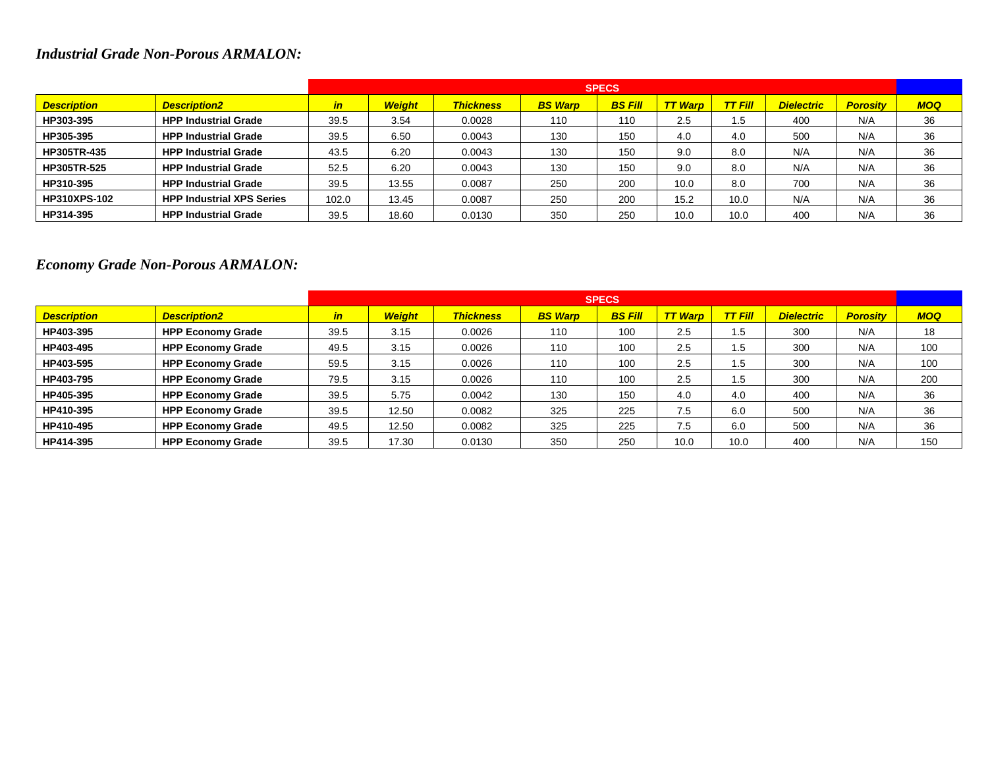# *Industrial Grade Non-Porous ARMALON:*

|                     |                                  |       | <b>SPECS</b>  |                  |                |                |                |         |                   |                 |            |  |  |
|---------------------|----------------------------------|-------|---------------|------------------|----------------|----------------|----------------|---------|-------------------|-----------------|------------|--|--|
| <b>Description</b>  | <b>Description2</b>              | in    | <b>Weight</b> | <b>Thickness</b> | <b>BS Warp</b> | <b>BS Fill</b> | <b>TT Warp</b> | TT Fill | <b>Dielectric</b> | <b>Porositv</b> | <b>MOQ</b> |  |  |
| HP303-395           | <b>HPP Industrial Grade</b>      | 39.5  | 3.54          | 0.0028           | 110            | 110            | 2.5            | 1.5     | 400               | N/A             | 36         |  |  |
| HP305-395           | <b>HPP Industrial Grade</b>      | 39.5  | 6.50          | 0.0043           | 130            | 150            | 4.0            | 4.0     | 500               | N/A             | 36         |  |  |
| <b>HP305TR-435</b>  | <b>HPP Industrial Grade</b>      | 43.5  | 6.20          | 0.0043           | 130            | 150            | 9.0            | 8.0     | N/A               | N/A             | 36         |  |  |
| <b>HP305TR-525</b>  | <b>HPP Industrial Grade</b>      | 52.5  | 6.20          | 0.0043           | 130            | 150            | 9.0            | 8.0     | N/A               | N/A             | 36         |  |  |
| HP310-395           | <b>HPP Industrial Grade</b>      | 39.5  | 13.55         | 0.0087           | 250            | 200            | 10.0           | 8.0     | 700               | N/A             | 36         |  |  |
| <b>HP310XPS-102</b> | <b>HPP Industrial XPS Series</b> | 102.0 | 13.45         | 0.0087           | 250            | 200            | 15.2           | 10.0    | N/A               | N/A             | 36         |  |  |
| HP314-395           | <b>HPP Industrial Grade</b>      | 39.5  | 18.60         | 0.0130           | 350            | 250            | 10.0           | 10.0    | 400               | N/A             | 36         |  |  |

# *Economy Grade Non-Porous ARMALON:*

|                    |                          | <b>SPECS</b> |               |                  |                |                |                |         |                   |                 |            |  |  |
|--------------------|--------------------------|--------------|---------------|------------------|----------------|----------------|----------------|---------|-------------------|-----------------|------------|--|--|
| <b>Description</b> | <b>Description2</b>      | in           | <b>Weight</b> | <b>Thickness</b> | <b>BS Warp</b> | <b>BS Fill</b> | <b>TT Warp</b> | TT Fill | <b>Dielectric</b> | <b>Porosity</b> | <b>MOQ</b> |  |  |
| HP403-395          | <b>HPP Economy Grade</b> | 39.5         | 3.15          | 0.0026           | 110            | 100            | 2.5            | 1.5     | 300               | N/A             | 18         |  |  |
| HP403-495          | <b>HPP Economy Grade</b> | 49.5         | 3.15          | 0.0026           | 110            | 100            | 2.5            | ا 5.    | 300               | N/A             | 100        |  |  |
| HP403-595          | <b>HPP Economy Grade</b> | 59.5         | 3.15          | 0.0026           | 110            | 100            | 2.5            | 1.5     | 300               | N/A             | 100        |  |  |
| HP403-795          | <b>HPP Economy Grade</b> | 79.5         | 3.15          | 0.0026           | 110            | 100            | 2.5            | 1.5     | 300               | N/A             | 200        |  |  |
| HP405-395          | <b>HPP Economy Grade</b> | 39.5         | 5.75          | 0.0042           | 130            | 150            | 4.0            | 4.0     | 400               | N/A             | 36         |  |  |
| HP410-395          | <b>HPP Economy Grade</b> | 39.5         | 12.50         | 0.0082           | 325            | 225            | 7.5            | 6.0     | 500               | N/A             | 36         |  |  |
| HP410-495          | <b>HPP Economy Grade</b> | 49.5         | 12.50         | 0.0082           | 325            | 225            | 7.5            | 6.0     | 500               | N/A             | 36         |  |  |
| HP414-395          | <b>HPP Economy Grade</b> | 39.5         | 17.30         | 0.0130           | 350            | 250            | 10.0           | 10.0    | 400               | N/A             | 150        |  |  |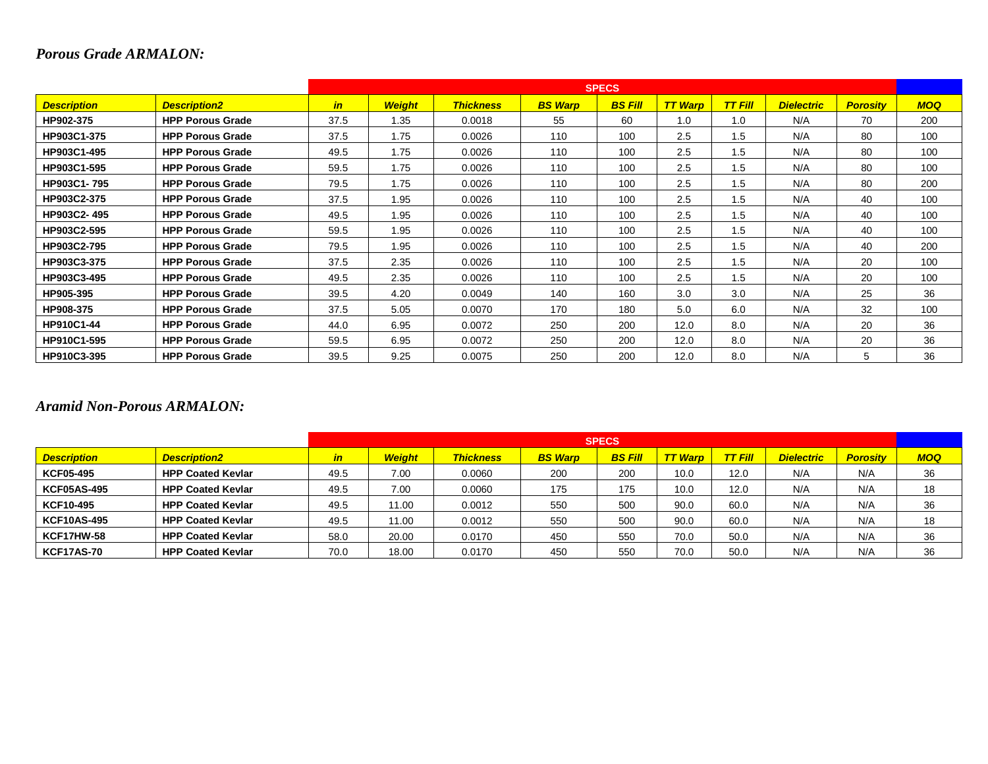# *Porous Grade ARMALON:*

|                    |                         |               |               |                  |                | <b>SPECS</b>   |                |                |                   |                 |            |
|--------------------|-------------------------|---------------|---------------|------------------|----------------|----------------|----------------|----------------|-------------------|-----------------|------------|
| <b>Description</b> | <b>Description2</b>     | $\mathbf{in}$ | <b>Weight</b> | <b>Thickness</b> | <b>BS Warp</b> | <b>BS Fill</b> | <b>TT Warp</b> | <b>TT Fill</b> | <b>Dielectric</b> | <b>Porosity</b> | <b>MOQ</b> |
| HP902-375          | <b>HPP Porous Grade</b> | 37.5          | 1.35          | 0.0018           | 55             | 60             | 1.0            | 1.0            | N/A               | 70              | 200        |
| HP903C1-375        | <b>HPP Porous Grade</b> | 37.5          | 1.75          | 0.0026           | 110            | 100            | 2.5            | 1.5            | N/A               | 80              | 100        |
| HP903C1-495        | <b>HPP Porous Grade</b> | 49.5          | 1.75          | 0.0026           | 110            | 100            | 2.5            | 1.5            | N/A               | 80              | 100        |
| HP903C1-595        | <b>HPP Porous Grade</b> | 59.5          | 1.75          | 0.0026           | 110            | 100            | 2.5            | 1.5            | N/A               | 80              | 100        |
| HP903C1-795        | <b>HPP Porous Grade</b> | 79.5          | 1.75          | 0.0026           | 110            | 100            | 2.5            | 1.5            | N/A               | 80              | 200        |
| HP903C2-375        | <b>HPP Porous Grade</b> | 37.5          | 1.95          | 0.0026           | 110            | 100            | 2.5            | 1.5            | N/A               | 40              | 100        |
| HP903C2-495        | <b>HPP Porous Grade</b> | 49.5          | 1.95          | 0.0026           | 110            | 100            | 2.5            | 1.5            | N/A               | 40              | 100        |
| HP903C2-595        | <b>HPP Porous Grade</b> | 59.5          | 1.95          | 0.0026           | 110            | 100            | 2.5            | 1.5            | N/A               | 40              | 100        |
| HP903C2-795        | <b>HPP Porous Grade</b> | 79.5          | 1.95          | 0.0026           | 110            | 100            | 2.5            | 1.5            | N/A               | 40              | 200        |
| HP903C3-375        | <b>HPP Porous Grade</b> | 37.5          | 2.35          | 0.0026           | 110            | 100            | 2.5            | 1.5            | N/A               | 20              | 100        |
| HP903C3-495        | <b>HPP Porous Grade</b> | 49.5          | 2.35          | 0.0026           | 110            | 100            | 2.5            | 1.5            | N/A               | 20              | 100        |
| HP905-395          | <b>HPP Porous Grade</b> | 39.5          | 4.20          | 0.0049           | 140            | 160            | 3.0            | 3.0            | N/A               | 25              | 36         |
| HP908-375          | <b>HPP Porous Grade</b> | 37.5          | 5.05          | 0.0070           | 170            | 180            | 5.0            | 6.0            | N/A               | 32              | 100        |
| <b>HP910C1-44</b>  | <b>HPP Porous Grade</b> | 44.0          | 6.95          | 0.0072           | 250            | 200            | 12.0           | 8.0            | N/A               | 20              | 36         |
| HP910C1-595        | <b>HPP Porous Grade</b> | 59.5          | 6.95          | 0.0072           | 250            | 200            | 12.0           | 8.0            | N/A               | 20              | 36         |
| HP910C3-395        | <b>HPP Porous Grade</b> | 39.5          | 9.25          | 0.0075           | 250            | 200            | 12.0           | 8.0            | N/A               | 5               | 36         |

#### *Aramid Non-Porous ARMALON:*

|                    |                          |      | <b>SPECS</b>  |                  |                |                |                |                |                   |                 |            |  |  |
|--------------------|--------------------------|------|---------------|------------------|----------------|----------------|----------------|----------------|-------------------|-----------------|------------|--|--|
| <b>Description</b> | <b>Description2</b>      | in   | <b>Weight</b> | <b>Thickness</b> | <b>BS Warp</b> | <b>BS Fill</b> | <b>TT Warp</b> | <b>TT Fill</b> | <b>Dielectric</b> | <b>Porosity</b> | <b>MOQ</b> |  |  |
| <b>KCF05-495</b>   | <b>HPP Coated Kevlar</b> | 49.5 | 7.00          | 0.0060           | 200            | 200            | 10.0           | 12.0           | N/A               | N/A             | 36         |  |  |
| <b>KCF05AS-495</b> | <b>HPP Coated Kevlar</b> | 49.5 | 7.00          | 0.0060           | 175            | 175            | 10.0           | 12.0           | N/A               | N/A             | 18         |  |  |
| KCF10-495          | <b>HPP Coated Kevlar</b> | 49.5 | 11.00         | 0.0012           | 550            | 500            | 90.0           | 60.0           | N/A               | N/A             | 36         |  |  |
| <b>KCF10AS-495</b> | <b>HPP Coated Kevlar</b> | 49.5 | 11.00         | 0.0012           | 550            | 500            | 90.0           | 60.0           | N/A               | N/A             | 18         |  |  |
| <b>KCF17HW-58</b>  | <b>HPP Coated Kevlar</b> | 58.0 | 20.00         | 0.0170           | 450            | 550            | 70.0           | 50.0           | N/A               | N/A             | 36         |  |  |
| <b>KCF17AS-70</b>  | <b>HPP Coated Kevlar</b> | 70.0 | 18.00         | 0.0170           | 450            | 550            | 70.0           | 50.0           | N/A               | N/A             | 36         |  |  |